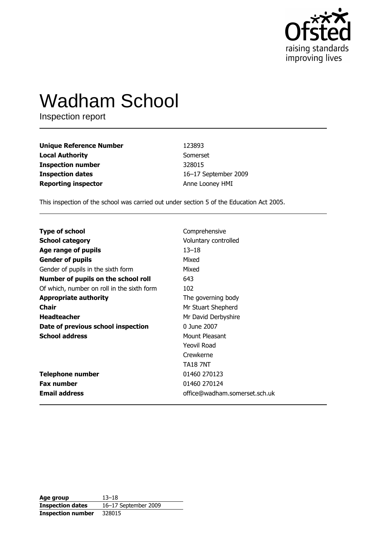

# **Wadham School**

Inspection report

| <b>Unique Reference Number</b> | 123893               |
|--------------------------------|----------------------|
| <b>Local Authority</b>         | Somerset             |
| <b>Inspection number</b>       | 328015               |
| <b>Inspection dates</b>        | 16-17 September 2009 |
| <b>Reporting inspector</b>     | Anne Looney HMI      |

This inspection of the school was carried out under section 5 of the Education Act 2005.

| <b>Type of school</b>                      | Comprehensive                 |
|--------------------------------------------|-------------------------------|
| <b>School category</b>                     | Voluntary controlled          |
| Age range of pupils                        | $13 - 18$                     |
| <b>Gender of pupils</b>                    | Mixed                         |
| Gender of pupils in the sixth form         | Mixed                         |
| Number of pupils on the school roll        | 643                           |
| Of which, number on roll in the sixth form | 102                           |
| <b>Appropriate authority</b>               | The governing body            |
| <b>Chair</b>                               | Mr Stuart Shepherd            |
| <b>Headteacher</b>                         | Mr David Derbyshire           |
| Date of previous school inspection         | 0 June 2007                   |
| <b>School address</b>                      | Mount Pleasant                |
|                                            | Yeovil Road                   |
|                                            | Crewkerne                     |
|                                            | <b>TA18 7NT</b>               |
| <b>Telephone number</b>                    | 01460 270123                  |
| <b>Fax number</b>                          | 01460 270124                  |
| <b>Email address</b>                       | office@wadham.somerset.sch.uk |

| Age group                | $13 - 18$            |
|--------------------------|----------------------|
| <b>Inspection dates</b>  | 16-17 September 2009 |
| <b>Inspection number</b> | 328015               |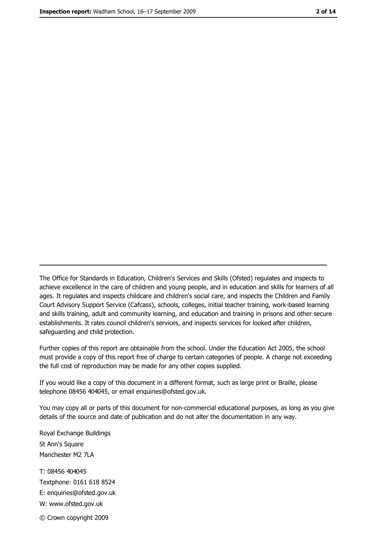The Office for Standards in Education, Children's Services and Skills (Ofsted) regulates and inspects to achieve excellence in the care of children and young people, and in education and skills for learners of all ages. It regulates and inspects childcare and children's social care, and inspects the Children and Family Court Advisory Support Service (Cafcass), schools, colleges, initial teacher training, work-based learning and skills training, adult and community learning, and education and training in prisons and other secure establishments. It rates council children's services, and inspects services for looked after children, safequarding and child protection.

Further copies of this report are obtainable from the school. Under the Education Act 2005, the school must provide a copy of this report free of charge to certain categories of people. A charge not exceeding the full cost of reproduction may be made for any other copies supplied.

If you would like a copy of this document in a different format, such as large print or Braille, please telephone 08456 404045, or email enquiries@ofsted.gov.uk.

You may copy all or parts of this document for non-commercial educational purposes, as long as you give details of the source and date of publication and do not alter the documentation in any way.

Royal Exchange Buildings St Ann's Square Manchester M2 7LA T: 08456 404045 Textphone: 0161 618 8524 E: enquiries@ofsted.gov.uk W: www.ofsted.gov.uk © Crown copyright 2009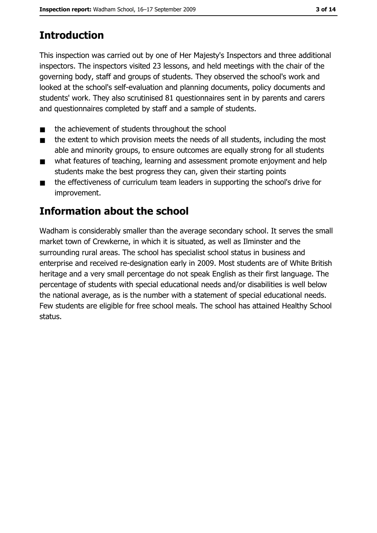# **Introduction**

This inspection was carried out by one of Her Majesty's Inspectors and three additional inspectors. The inspectors visited 23 lessons, and held meetings with the chair of the governing body, staff and groups of students. They observed the school's work and looked at the school's self-evaluation and planning documents, policy documents and students' work. They also scrutinised 81 questionnaires sent in by parents and carers and questionnaires completed by staff and a sample of students.

- the achievement of students throughout the school  $\blacksquare$
- the extent to which provision meets the needs of all students, including the most  $\blacksquare$ able and minority groups, to ensure outcomes are equally strong for all students
- what features of teaching, learning and assessment promote enjoyment and help  $\blacksquare$ students make the best progress they can, given their starting points
- $\blacksquare$ the effectiveness of curriculum team leaders in supporting the school's drive for improvement.

## **Information about the school**

Wadham is considerably smaller than the average secondary school. It serves the small market town of Crewkerne, in which it is situated, as well as Ilminster and the surrounding rural areas. The school has specialist school status in business and enterprise and received re-designation early in 2009. Most students are of White British heritage and a very small percentage do not speak English as their first language. The percentage of students with special educational needs and/or disabilities is well below the national average, as is the number with a statement of special educational needs. Few students are eligible for free school meals. The school has attained Healthy School status.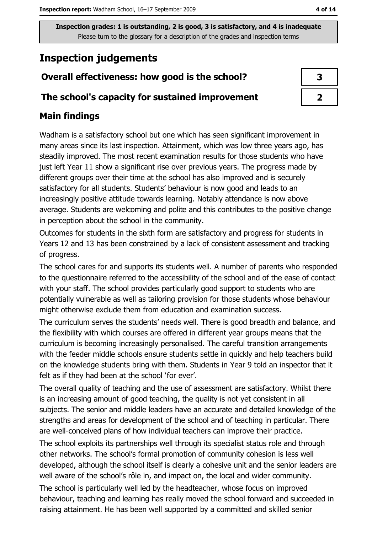## **Inspection judgements**

## Overall effectiveness: how good is the school?

#### The school's capacity for sustained improvement

### **Main findings**

Wadham is a satisfactory school but one which has seen significant improvement in many areas since its last inspection. Attainment, which was low three years ago, has steadily improved. The most recent examination results for those students who have just left Year 11 show a significant rise over previous years. The progress made by different groups over their time at the school has also improved and is securely satisfactory for all students. Students' behaviour is now good and leads to an increasingly positive attitude towards learning. Notably attendance is now above average. Students are welcoming and polite and this contributes to the positive change in perception about the school in the community.

Outcomes for students in the sixth form are satisfactory and progress for students in Years 12 and 13 has been constrained by a lack of consistent assessment and tracking of progress.

The school cares for and supports its students well. A number of parents who responded to the questionnaire referred to the accessibility of the school and of the ease of contact with your staff. The school provides particularly good support to students who are potentially vulnerable as well as tailoring provision for those students whose behaviour might otherwise exclude them from education and examination success.

The curriculum serves the students' needs well. There is good breadth and balance, and the flexibility with which courses are offered in different year groups means that the curriculum is becoming increasingly personalised. The careful transition arrangements with the feeder middle schools ensure students settle in quickly and help teachers build on the knowledge students bring with them. Students in Year 9 told an inspector that it felt as if they had been at the school 'for ever'.

The overall quality of teaching and the use of assessment are satisfactory. Whilst there is an increasing amount of good teaching, the quality is not yet consistent in all subjects. The senior and middle leaders have an accurate and detailed knowledge of the strengths and areas for development of the school and of teaching in particular. There are well-conceived plans of how individual teachers can improve their practice.

The school exploits its partnerships well through its specialist status role and through other networks. The school's formal promotion of community cohesion is less well developed, although the school itself is clearly a cohesive unit and the senior leaders are well aware of the school's rôle in, and impact on, the local and wider community.

The school is particularly well led by the headteacher, whose focus on improved behaviour, teaching and learning has really moved the school forward and succeeded in raising attainment. He has been well supported by a committed and skilled senior

| 3 |  |
|---|--|
|   |  |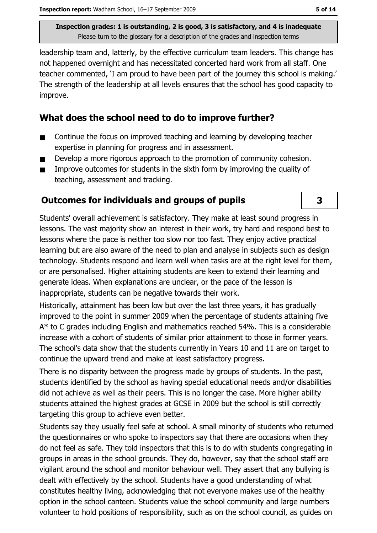leadership team and, latterly, by the effective curriculum team leaders. This change has not happened overnight and has necessitated concerted hard work from all staff. One teacher commented, 'I am proud to have been part of the journey this school is making.' The strength of the leadership at all levels ensures that the school has good capacity to improve.

#### What does the school need to do to improve further?

- Continue the focus on improved teaching and learning by developing teacher  $\blacksquare$ expertise in planning for progress and in assessment.
- Develop a more rigorous approach to the promotion of community cohesion.  $\blacksquare$
- $\blacksquare$ Improve outcomes for students in the sixth form by improving the quality of teaching, assessment and tracking.

#### **Outcomes for individuals and groups of pupils**

Students' overall achievement is satisfactory. They make at least sound progress in lessons. The vast majority show an interest in their work, try hard and respond best to lessons where the pace is neither too slow nor too fast. They enjoy active practical learning but are also aware of the need to plan and analyse in subjects such as design technology. Students respond and learn well when tasks are at the right level for them. or are personalised. Higher attaining students are keen to extend their learning and generate ideas. When explanations are unclear, or the pace of the lesson is inappropriate, students can be negative towards their work.

Historically, attainment has been low but over the last three years, it has gradually improved to the point in summer 2009 when the percentage of students attaining five A\* to C grades including English and mathematics reached 54%. This is a considerable increase with a cohort of students of similar prior attainment to those in former years. The school's data show that the students currently in Years 10 and 11 are on target to continue the upward trend and make at least satisfactory progress.

There is no disparity between the progress made by groups of students. In the past, students identified by the school as having special educational needs and/or disabilities did not achieve as well as their peers. This is no longer the case. More higher ability students attained the highest grades at GCSE in 2009 but the school is still correctly targeting this group to achieve even better.

Students say they usually feel safe at school. A small minority of students who returned the questionnaires or who spoke to inspectors say that there are occasions when they do not feel as safe. They told inspectors that this is to do with students congregating in groups in areas in the school grounds. They do, however, say that the school staff are vigilant around the school and monitor behaviour well. They assert that any bullying is dealt with effectively by the school. Students have a good understanding of what constitutes healthy living, acknowledging that not everyone makes use of the healthy option in the school canteen. Students value the school community and large numbers volunteer to hold positions of responsibility, such as on the school council, as guides on

 $\overline{\mathbf{3}}$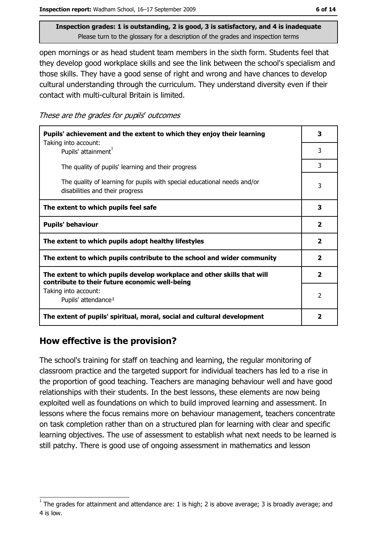open mornings or as head student team members in the sixth form. Students feel that they develop good workplace skills and see the link between the school's specialism and those skills. They have a good sense of right and wrong and have chances to develop cultural understanding through the curriculum. They understand diversity even if their contact with multi-cultural Britain is limited.

These are the grades for pupils' outcomes

| Pupils' achievement and the extent to which they enjoy their learning                                                     |   |  |
|---------------------------------------------------------------------------------------------------------------------------|---|--|
| Taking into account:<br>Pupils' attainment <sup>1</sup>                                                                   | 3 |  |
| The quality of pupils' learning and their progress                                                                        | 3 |  |
| The quality of learning for pupils with special educational needs and/or<br>disabilities and their progress               |   |  |
| The extent to which pupils feel safe                                                                                      |   |  |
| <b>Pupils' behaviour</b>                                                                                                  |   |  |
| The extent to which pupils adopt healthy lifestyles                                                                       |   |  |
| The extent to which pupils contribute to the school and wider community                                                   |   |  |
| The extent to which pupils develop workplace and other skills that will<br>contribute to their future economic well-being |   |  |
| Taking into account:<br>Pupils' attendance <sup>1</sup>                                                                   |   |  |
| The extent of pupils' spiritual, moral, social and cultural development                                                   |   |  |

#### How effective is the provision?

The school's training for staff on teaching and learning, the regular monitoring of classroom practice and the targeted support for individual teachers has led to a rise in the proportion of good teaching. Teachers are managing behaviour well and have good relationships with their students. In the best lessons, these elements are now being exploited well as foundations on which to build improved learning and assessment. In lessons where the focus remains more on behaviour management, teachers concentrate on task completion rather than on a structured plan for learning with clear and specific learning objectives. The use of assessment to establish what next needs to be learned is still patchy. There is good use of ongoing assessment in mathematics and lesson

The grades for attainment and attendance are: 1 is high; 2 is above average; 3 is broadly average; and 4 is low.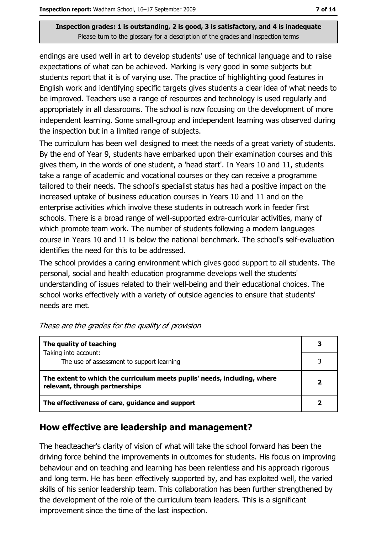endings are used well in art to develop students' use of technical language and to raise expectations of what can be achieved. Marking is very good in some subjects but students report that it is of varying use. The practice of highlighting good features in English work and identifying specific targets gives students a clear idea of what needs to be improved. Teachers use a range of resources and technology is used regularly and appropriately in all classrooms. The school is now focusing on the development of more independent learning. Some small-group and independent learning was observed during the inspection but in a limited range of subjects.

The curriculum has been well designed to meet the needs of a great variety of students. By the end of Year 9, students have embarked upon their examination courses and this gives them, in the words of one student, a 'head start'. In Years 10 and 11, students take a range of academic and vocational courses or they can receive a programme tailored to their needs. The school's specialist status has had a positive impact on the increased uptake of business education courses in Years 10 and 11 and on the enterprise activities which involve these students in outreach work in feeder first schools. There is a broad range of well-supported extra-curricular activities, many of which promote team work. The number of students following a modern languages course in Years 10 and 11 is below the national benchmark. The school's self-evaluation identifies the need for this to be addressed.

The school provides a caring environment which gives good support to all students. The personal, social and health education programme develops well the students' understanding of issues related to their well-being and their educational choices. The school works effectively with a variety of outside agencies to ensure that students' needs are met.

| The quality of teaching                                                                                    |  |
|------------------------------------------------------------------------------------------------------------|--|
| Taking into account:<br>The use of assessment to support learning                                          |  |
|                                                                                                            |  |
| The extent to which the curriculum meets pupils' needs, including, where<br>relevant, through partnerships |  |
| The effectiveness of care, guidance and support                                                            |  |

#### How effective are leadership and management?

The headteacher's clarity of vision of what will take the school forward has been the driving force behind the improvements in outcomes for students. His focus on improving behaviour and on teaching and learning has been relentless and his approach rigorous and long term. He has been effectively supported by, and has exploited well, the varied skills of his senior leadership team. This collaboration has been further strengthened by the development of the role of the curriculum team leaders. This is a significant improvement since the time of the last inspection.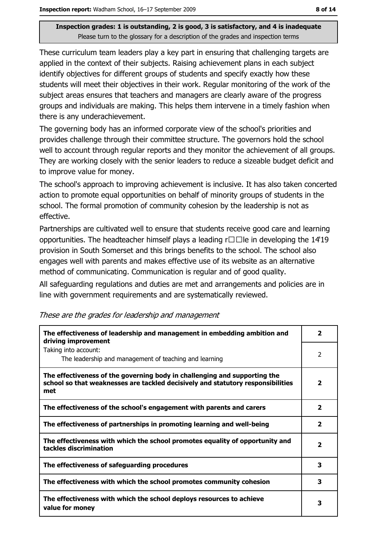These curriculum team leaders play a key part in ensuring that challenging targets are applied in the context of their subjects. Raising achievement plans in each subject identify objectives for different groups of students and specify exactly how these students will meet their objectives in their work. Regular monitoring of the work of the subject areas ensures that teachers and managers are clearly aware of the progress groups and individuals are making. This helps them intervene in a timely fashion when there is any underachievement.

The governing body has an informed corporate view of the school's priorities and provides challenge through their committee structure. The governors hold the school well to account through regular reports and they monitor the achievement of all groups. They are working closely with the senior leaders to reduce a sizeable budget deficit and to improve value for money.

The school's approach to improving achievement is inclusive. It has also taken concerted action to promote equal opportunities on behalf of minority groups of students in the school. The formal promotion of community cohesion by the leadership is not as effective.

Partnerships are cultivated well to ensure that students receive good care and learning opportunities. The headteacher himself plays a leading  $r\square \square$  in developing the 14'19 provision in South Somerset and this brings benefits to the school. The school also engages well with parents and makes effective use of its website as an alternative method of communicating. Communication is regular and of good quality.

All safeguarding regulations and duties are met and arrangements and policies are in line with government requirements and are systematically reviewed.

| The effectiveness of leadership and management in embedding ambition and<br>driving improvement                                                                     |                         |
|---------------------------------------------------------------------------------------------------------------------------------------------------------------------|-------------------------|
| Taking into account:<br>The leadership and management of teaching and learning                                                                                      | $\mathcal{P}$           |
| The effectiveness of the governing body in challenging and supporting the<br>school so that weaknesses are tackled decisively and statutory responsibilities<br>met |                         |
| The effectiveness of the school's engagement with parents and carers                                                                                                | $\overline{\mathbf{2}}$ |
| The effectiveness of partnerships in promoting learning and well-being                                                                                              | $\overline{\mathbf{2}}$ |
| The effectiveness with which the school promotes equality of opportunity and<br>tackles discrimination                                                              |                         |
| The effectiveness of safeguarding procedures                                                                                                                        |                         |
| The effectiveness with which the school promotes community cohesion                                                                                                 |                         |
| The effectiveness with which the school deploys resources to achieve<br>value for money                                                                             |                         |

These are the grades for leadership and management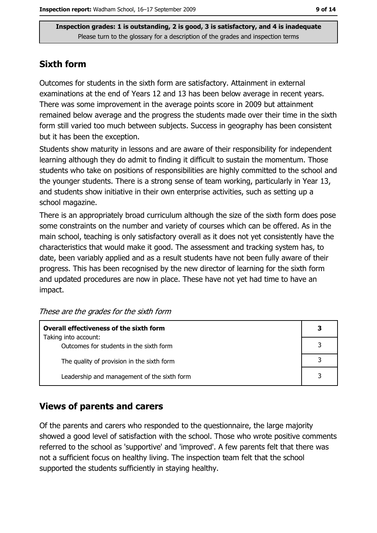#### **Sixth form**

Outcomes for students in the sixth form are satisfactory. Attainment in external examinations at the end of Years 12 and 13 has been below average in recent vears. There was some improvement in the average points score in 2009 but attainment remained below average and the progress the students made over their time in the sixth form still varied too much between subjects. Success in geography has been consistent but it has been the exception.

Students show maturity in lessons and are aware of their responsibility for independent learning although they do admit to finding it difficult to sustain the momentum. Those students who take on positions of responsibilities are highly committed to the school and the younger students. There is a strong sense of team working, particularly in Year 13, and students show initiative in their own enterprise activities, such as setting up a school magazine.

There is an appropriately broad curriculum although the size of the sixth form does pose some constraints on the number and variety of courses which can be offered. As in the main school, teaching is only satisfactory overall as it does not yet consistently have the characteristics that would make it good. The assessment and tracking system has, to date, been variably applied and as a result students have not been fully aware of their progress. This has been recognised by the new director of learning for the sixth form and updated procedures are now in place. These have not yet had time to have an impact.

| Overall effectiveness of the sixth form                         |  |  |
|-----------------------------------------------------------------|--|--|
| Taking into account:<br>Outcomes for students in the sixth form |  |  |
| The quality of provision in the sixth form                      |  |  |
| Leadership and management of the sixth form                     |  |  |

These are the grades for the sixth form

#### **Views of parents and carers**

Of the parents and carers who responded to the questionnaire, the large majority showed a good level of satisfaction with the school. Those who wrote positive comments referred to the school as 'supportive' and 'improved'. A few parents felt that there was not a sufficient focus on healthy living. The inspection team felt that the school supported the students sufficiently in staying healthy.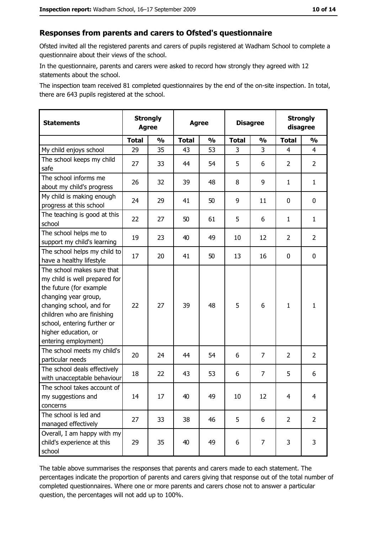#### Responses from parents and carers to Ofsted's questionnaire

Ofsted invited all the registered parents and carers of pupils registered at Wadham School to complete a questionnaire about their views of the school.

In the questionnaire, parents and carers were asked to record how strongly they agreed with 12 statements about the school.

The inspection team received 81 completed questionnaires by the end of the on-site inspection. In total, there are 643 pupils registered at the school.

| <b>Statements</b>                                                                                                                                                                                                                                       | <b>Strongly</b><br><b>Agree</b> |               | <b>Agree</b> |               | <b>Disagree</b> |                |                | <b>Strongly</b><br>disagree |
|---------------------------------------------------------------------------------------------------------------------------------------------------------------------------------------------------------------------------------------------------------|---------------------------------|---------------|--------------|---------------|-----------------|----------------|----------------|-----------------------------|
|                                                                                                                                                                                                                                                         | <b>Total</b>                    | $\frac{1}{2}$ | <b>Total</b> | $\frac{0}{0}$ | <b>Total</b>    | $\frac{1}{2}$  | <b>Total</b>   | $\frac{1}{2}$               |
| My child enjoys school                                                                                                                                                                                                                                  | 29                              | 35            | 43           | 53            | 3               | 3              | 4              | 4                           |
| The school keeps my child<br>safe                                                                                                                                                                                                                       | 27                              | 33            | 44           | 54            | 5               | 6              | $\overline{2}$ | $\overline{2}$              |
| The school informs me<br>about my child's progress                                                                                                                                                                                                      | 26                              | 32            | 39           | 48            | 8               | 9              | 1              | $\mathbf{1}$                |
| My child is making enough<br>progress at this school                                                                                                                                                                                                    | 24                              | 29            | 41           | 50            | 9               | 11             | 0              | 0                           |
| The teaching is good at this<br>school                                                                                                                                                                                                                  | 22                              | 27            | 50           | 61            | 5               | 6              | 1              | $\mathbf{1}$                |
| The school helps me to<br>support my child's learning                                                                                                                                                                                                   | 19                              | 23            | 40           | 49            | 10              | 12             | $\overline{2}$ | $\overline{2}$              |
| The school helps my child to<br>have a healthy lifestyle                                                                                                                                                                                                | 17                              | 20            | 41           | 50            | 13              | 16             | 0              | $\mathbf 0$                 |
| The school makes sure that<br>my child is well prepared for<br>the future (for example<br>changing year group,<br>changing school, and for<br>children who are finishing<br>school, entering further or<br>higher education, or<br>entering employment) | 22                              | 27            | 39           | 48            | 5               | 6              | 1              | $\mathbf{1}$                |
| The school meets my child's<br>particular needs                                                                                                                                                                                                         | 20                              | 24            | 44           | 54            | 6               | 7              | $\overline{2}$ | $\overline{2}$              |
| The school deals effectively<br>with unacceptable behaviour                                                                                                                                                                                             | 18                              | 22            | 43           | 53            | 6               | $\overline{7}$ | 5              | 6                           |
| The school takes account of<br>my suggestions and<br>concerns                                                                                                                                                                                           | 14                              | 17            | 40           | 49            | 10              | 12             | 4              | $\overline{4}$              |
| The school is led and<br>managed effectively                                                                                                                                                                                                            | 27                              | 33            | 38           | 46            | 5               | 6              | $\overline{2}$ | $\overline{2}$              |
| Overall, I am happy with my<br>child's experience at this<br>school                                                                                                                                                                                     | 29                              | 35            | 40           | 49            | 6               | 7              | 3              | 3                           |

The table above summarises the responses that parents and carers made to each statement. The percentages indicate the proportion of parents and carers giving that response out of the total number of completed questionnaires. Where one or more parents and carers chose not to answer a particular question, the percentages will not add up to 100%.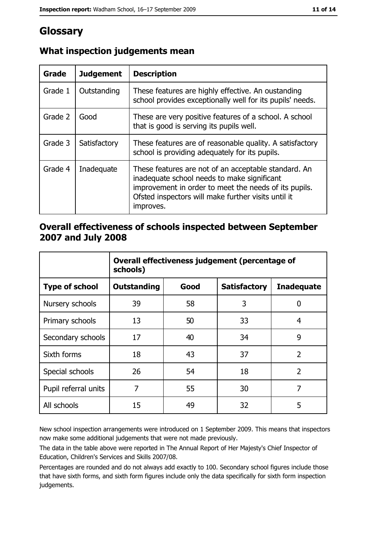## Glossary

| Grade   | <b>Judgement</b> | <b>Description</b>                                                                                                                                                                                                               |
|---------|------------------|----------------------------------------------------------------------------------------------------------------------------------------------------------------------------------------------------------------------------------|
| Grade 1 | Outstanding      | These features are highly effective. An oustanding<br>school provides exceptionally well for its pupils' needs.                                                                                                                  |
| Grade 2 | Good             | These are very positive features of a school. A school<br>that is good is serving its pupils well.                                                                                                                               |
| Grade 3 | Satisfactory     | These features are of reasonable quality. A satisfactory<br>school is providing adequately for its pupils.                                                                                                                       |
| Grade 4 | Inadequate       | These features are not of an acceptable standard. An<br>inadequate school needs to make significant<br>improvement in order to meet the needs of its pupils.<br>Ofsted inspectors will make further visits until it<br>improves. |

#### What inspection judgements mean

#### Overall effectiveness of schools inspected between September 2007 and July 2008

|                       | Overall effectiveness judgement (percentage of<br>schools) |      |                     |                   |  |
|-----------------------|------------------------------------------------------------|------|---------------------|-------------------|--|
| <b>Type of school</b> | <b>Outstanding</b>                                         | Good | <b>Satisfactory</b> | <b>Inadequate</b> |  |
| Nursery schools       | 39                                                         | 58   | 3                   | 0                 |  |
| Primary schools       | 13                                                         | 50   | 33                  | 4                 |  |
| Secondary schools     | 17                                                         | 40   | 34                  | 9                 |  |
| Sixth forms           | 18                                                         | 43   | 37                  | $\overline{2}$    |  |
| Special schools       | 26                                                         | 54   | 18                  | $\overline{2}$    |  |
| Pupil referral units  | 7                                                          | 55   | 30                  | 7                 |  |
| All schools           | 15                                                         | 49   | 32                  | 5                 |  |

New school inspection arrangements were introduced on 1 September 2009. This means that inspectors now make some additional judgements that were not made previously.

The data in the table above were reported in The Annual Report of Her Majesty's Chief Inspector of Education, Children's Services and Skills 2007/08.

Percentages are rounded and do not always add exactly to 100. Secondary school figures include those that have sixth forms, and sixth form figures include only the data specifically for sixth form inspection judgements.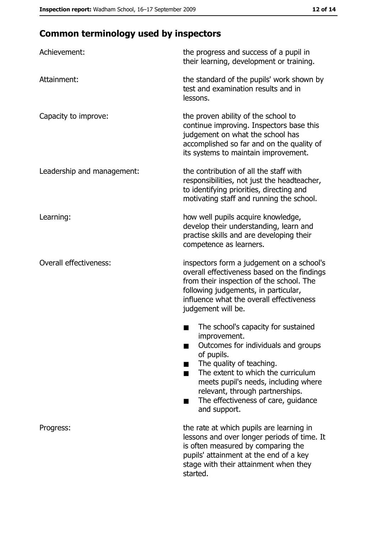## **Common terminology used by inspectors**

| Achievement:                  | the progress and success of a pupil in<br>their learning, development or training.                                                                                                                                                                                                                           |
|-------------------------------|--------------------------------------------------------------------------------------------------------------------------------------------------------------------------------------------------------------------------------------------------------------------------------------------------------------|
| Attainment:                   | the standard of the pupils' work shown by<br>test and examination results and in<br>lessons.                                                                                                                                                                                                                 |
| Capacity to improve:          | the proven ability of the school to<br>continue improving. Inspectors base this<br>judgement on what the school has<br>accomplished so far and on the quality of<br>its systems to maintain improvement.                                                                                                     |
| Leadership and management:    | the contribution of all the staff with<br>responsibilities, not just the headteacher,<br>to identifying priorities, directing and<br>motivating staff and running the school.                                                                                                                                |
| Learning:                     | how well pupils acquire knowledge,<br>develop their understanding, learn and<br>practise skills and are developing their<br>competence as learners.                                                                                                                                                          |
| <b>Overall effectiveness:</b> | inspectors form a judgement on a school's<br>overall effectiveness based on the findings<br>from their inspection of the school. The<br>following judgements, in particular,<br>influence what the overall effectiveness<br>judgement will be.                                                               |
|                               | The school's capacity for sustained<br>improvement.<br>Outcomes for individuals and groups<br>of pupils.<br>The quality of teaching.<br>The extent to which the curriculum<br>meets pupil's needs, including where<br>relevant, through partnerships.<br>The effectiveness of care, guidance<br>and support. |
| Progress:                     | the rate at which pupils are learning in<br>lessons and over longer periods of time. It<br>is often measured by comparing the<br>pupils' attainment at the end of a key<br>stage with their attainment when they<br>started.                                                                                 |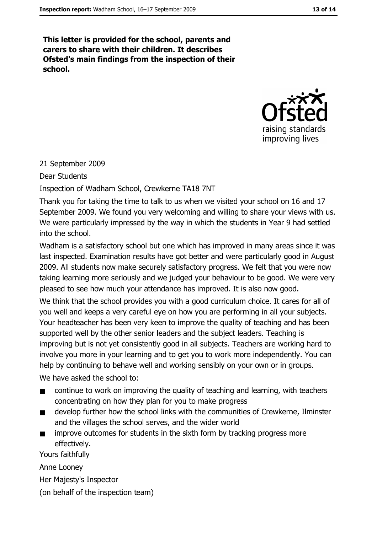This letter is provided for the school, parents and carers to share with their children. It describes Ofsted's main findings from the inspection of their school.



#### 21 September 2009

**Dear Students** 

Inspection of Wadham School, Crewkerne TA18 7NT

Thank you for taking the time to talk to us when we visited your school on 16 and 17 September 2009. We found you very welcoming and willing to share your views with us. We were particularly impressed by the way in which the students in Year 9 had settled into the school.

Wadham is a satisfactory school but one which has improved in many areas since it was last inspected. Examination results have got better and were particularly good in August 2009. All students now make securely satisfactory progress. We felt that you were now taking learning more seriously and we judged your behaviour to be good. We were very pleased to see how much your attendance has improved. It is also now good.

We think that the school provides you with a good curriculum choice. It cares for all of you well and keeps a very careful eye on how you are performing in all your subjects. Your headteacher has been very keen to improve the quality of teaching and has been supported well by the other senior leaders and the subject leaders. Teaching is improving but is not vet consistently good in all subjects. Teachers are working hard to involve you more in your learning and to get you to work more independently. You can help by continuing to behave well and working sensibly on your own or in groups.

We have asked the school to:

- $\blacksquare$ continue to work on improving the quality of teaching and learning, with teachers concentrating on how they plan for you to make progress
- develop further how the school links with the communities of Crewkerne, Ilminster  $\blacksquare$ and the villages the school serves, and the wider world
- improve outcomes for students in the sixth form by tracking progress more  $\blacksquare$ effectively.

Yours faithfully

Anne Looney

Her Majesty's Inspector

(on behalf of the inspection team)